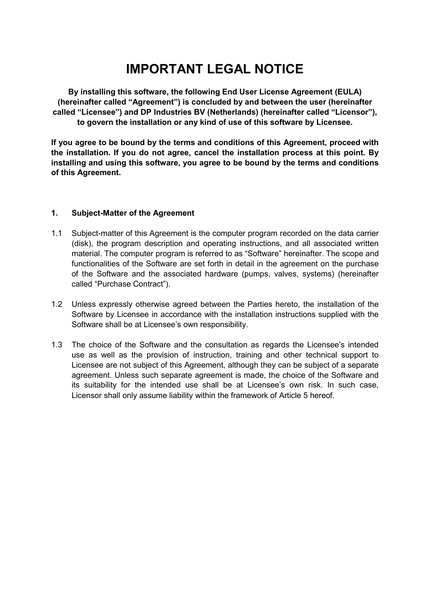# **IMPORTANT LEGAL NOTICE**

**By installing this software, the following End User License Agreement (EULA) (hereinafter called "Agreement") is concluded by and between the user (hereinafter called "Licensee") and DP Industries BV (Netherlands) (hereinafter called "Licensor"), to govern the installation or any kind of use of this software by Licensee.** 

**If you agree to be bound by the terms and conditions of this Agreement, proceed with the installation. If you do not agree, cancel the installation process at this point. By installing and using this software, you agree to be bound by the terms and conditions of this Agreement.**

# **1. Subject-Matter of the Agreement**

- 1.1 Subject-matter of this Agreement is the computer program recorded on the data carrier (disk), the program description and operating instructions, and all associated written material. The computer program is referred to as "Software" hereinafter. The scope and functionalities of the Software are set forth in detail in the agreement on the purchase of the Software and the associated hardware (pumps, valves, systems) (hereinafter called "Purchase Contract").
- 1.2 Unless expressly otherwise agreed between the Parties hereto, the installation of the Software by Licensee in accordance with the installation instructions supplied with the Software shall be at Licensee's own responsibility.
- 1.3 The choice of the Software and the consultation as regards the Licensee's intended use as well as the provision of instruction, training and other technical support to Licensee are not subject of this Agreement, although they can be subject of a separate agreement. Unless such separate agreement is made, the choice of the Software and its suitability for the intended use shall be at Licensee's own risk. In such case, Licensor shall only assume liability within the framework of Article 5 hereof.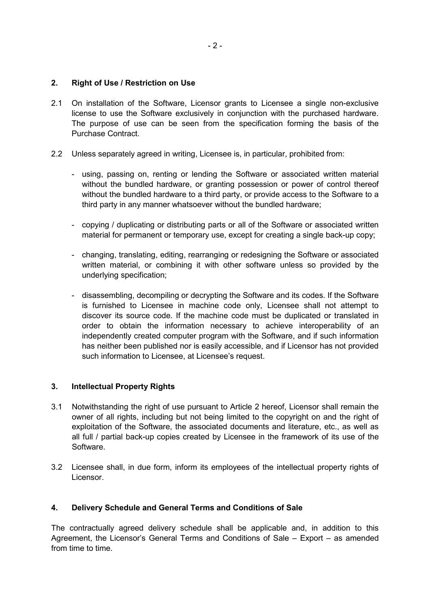# **2. Right of Use / Restriction on Use**

- 2.1 On installation of the Software, Licensor grants to Licensee a single non-exclusive license to use the Software exclusively in conjunction with the purchased hardware. The purpose of use can be seen from the specification forming the basis of the Purchase Contract.
- 2.2 Unless separately agreed in writing, Licensee is, in particular, prohibited from:
	- using, passing on, renting or lending the Software or associated written material without the bundled hardware, or granting possession or power of control thereof without the bundled hardware to a third party, or provide access to the Software to a third party in any manner whatsoever without the bundled hardware;
	- copying / duplicating or distributing parts or all of the Software or associated written material for permanent or temporary use, except for creating a single back-up copy;
	- changing, translating, editing, rearranging or redesigning the Software or associated written material, or combining it with other software unless so provided by the underlying specification;
	- disassembling, decompiling or decrypting the Software and its codes. If the Software is furnished to Licensee in machine code only, Licensee shall not attempt to discover its source code. If the machine code must be duplicated or translated in order to obtain the information necessary to achieve interoperability of an independently created computer program with the Software, and if such information has neither been published nor is easily accessible, and if Licensor has not provided such information to Licensee, at Licensee's request.

# **3. Intellectual Property Rights**

- 3.1 Notwithstanding the right of use pursuant to Article 2 hereof, Licensor shall remain the owner of all rights, including but not being limited to the copyright on and the right of exploitation of the Software, the associated documents and literature, etc., as well as all full / partial back-up copies created by Licensee in the framework of its use of the Software.
- 3.2 Licensee shall, in due form, inform its employees of the intellectual property rights of Licensor.

# **4. Delivery Schedule and General Terms and Conditions of Sale**

The contractually agreed delivery schedule shall be applicable and, in addition to this Agreement, the Licensor's General Terms and Conditions of Sale – Export – as amended from time to time.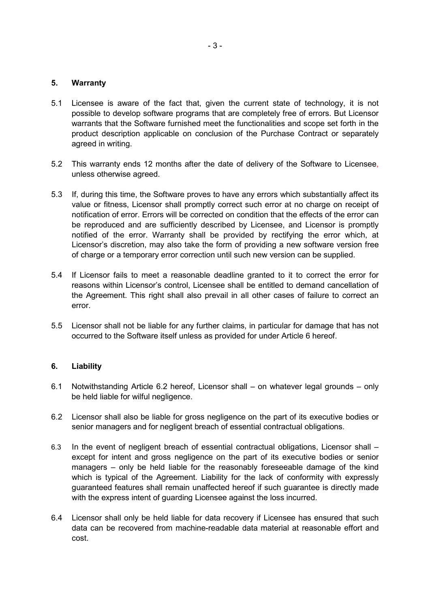#### **5. Warranty**

- 5.1 Licensee is aware of the fact that, given the current state of technology, it is not possible to develop software programs that are completely free of errors. But Licensor warrants that the Software furnished meet the functionalities and scope set forth in the product description applicable on conclusion of the Purchase Contract or separately agreed in writing.
- 5.2 This warranty ends 12 months after the date of delivery of the Software to Licensee, unless otherwise agreed.
- 5.3 If, during this time, the Software proves to have any errors which substantially affect its value or fitness, Licensor shall promptly correct such error at no charge on receipt of notification of error. Errors will be corrected on condition that the effects of the error can be reproduced and are sufficiently described by Licensee, and Licensor is promptly notified of the error. Warranty shall be provided by rectifying the error which, at Licensor's discretion, may also take the form of providing a new software version free of charge or a temporary error correction until such new version can be supplied.
- 5.4 If Licensor fails to meet a reasonable deadline granted to it to correct the error for reasons within Licensor's control, Licensee shall be entitled to demand cancellation of the Agreement. This right shall also prevail in all other cases of failure to correct an error.
- 5.5 Licensor shall not be liable for any further claims, in particular for damage that has not occurred to the Software itself unless as provided for under Article 6 hereof.

# **6. Liability**

- 6.1 Notwithstanding Article 6.2 hereof, Licensor shall on whatever legal grounds only be held liable for wilful negligence.
- 6.2 Licensor shall also be liable for gross negligence on the part of its executive bodies or senior managers and for negligent breach of essential contractual obligations.
- 6.3 In the event of negligent breach of essential contractual obligations, Licensor shall except for intent and gross negligence on the part of its executive bodies or senior managers – only be held liable for the reasonably foreseeable damage of the kind which is typical of the Agreement. Liability for the lack of conformity with expressly guaranteed features shall remain unaffected hereof if such guarantee is directly made with the express intent of guarding Licensee against the loss incurred.
- 6.4 Licensor shall only be held liable for data recovery if Licensee has ensured that such data can be recovered from machine-readable data material at reasonable effort and cost.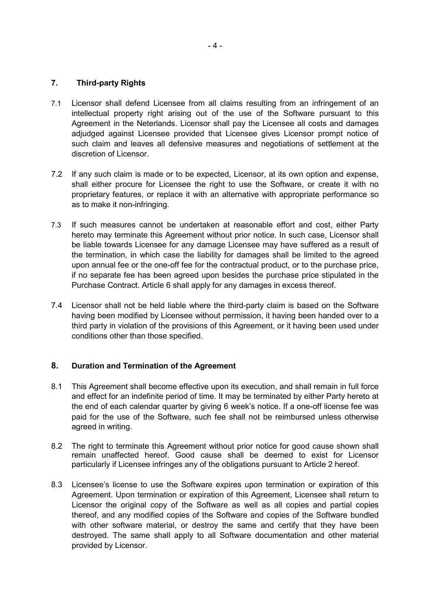#### **7. Third-party Rights**

- 7.1 Licensor shall defend Licensee from all claims resulting from an infringement of an intellectual property right arising out of the use of the Software pursuant to this Agreement in the Neterlands. Licensor shall pay the Licensee all costs and damages adjudged against Licensee provided that Licensee gives Licensor prompt notice of such claim and leaves all defensive measures and negotiations of settlement at the discretion of Licensor.
- 7.2 If any such claim is made or to be expected, Licensor, at its own option and expense, shall either procure for Licensee the right to use the Software, or create it with no proprietary features, or replace it with an alternative with appropriate performance so as to make it non-infringing.
- 7.3 If such measures cannot be undertaken at reasonable effort and cost, either Party hereto may terminate this Agreement without prior notice. In such case, Licensor shall be liable towards Licensee for any damage Licensee may have suffered as a result of the termination, in which case the liability for damages shall be limited to the agreed upon annual fee or the one-off fee for the contractual product, or to the purchase price, if no separate fee has been agreed upon besides the purchase price stipulated in the Purchase Contract. Article 6 shall apply for any damages in excess thereof.
- 7.4 Licensor shall not be held liable where the third-party claim is based on the Software having been modified by Licensee without permission, it having been handed over to a third party in violation of the provisions of this Agreement, or it having been used under conditions other than those specified.

# **8. Duration and Termination of the Agreement**

- 8.1 This Agreement shall become effective upon its execution, and shall remain in full force and effect for an indefinite period of time. It may be terminated by either Party hereto at the end of each calendar quarter by giving 6 week's notice. If a one-off license fee was paid for the use of the Software, such fee shall not be reimbursed unless otherwise agreed in writing.
- 8.2 The right to terminate this Agreement without prior notice for good cause shown shall remain unaffected hereof. Good cause shall be deemed to exist for Licensor particularly if Licensee infringes any of the obligations pursuant to Article 2 hereof.
- 8.3 Licensee's license to use the Software expires upon termination or expiration of this Agreement. Upon termination or expiration of this Agreement, Licensee shall return to Licensor the original copy of the Software as well as all copies and partial copies thereof, and any modified copies of the Software and copies of the Software bundled with other software material, or destroy the same and certify that they have been destroyed. The same shall apply to all Software documentation and other material provided by Licensor.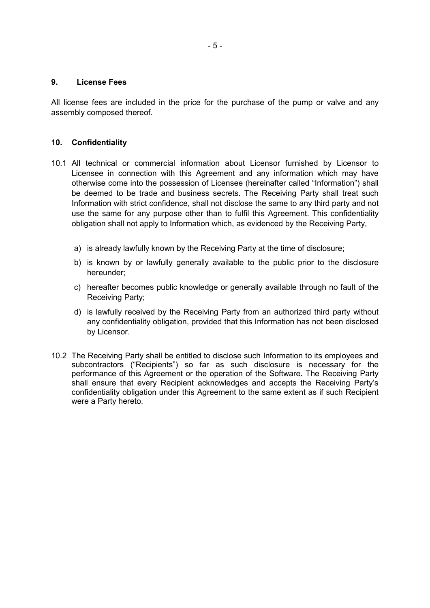#### **9. License Fees**

All license fees are included in the price for the purchase of the pump or valve and any assembly composed thereof.

#### **10. Confidentiality**

- 10.1 All technical or commercial information about Licensor furnished by Licensor to Licensee in connection with this Agreement and any information which may have otherwise come into the possession of Licensee (hereinafter called "Information") shall be deemed to be trade and business secrets. The Receiving Party shall treat such Information with strict confidence, shall not disclose the same to any third party and not use the same for any purpose other than to fulfil this Agreement. This confidentiality obligation shall not apply to Information which, as evidenced by the Receiving Party,
	- a) is already lawfully known by the Receiving Party at the time of disclosure;
	- b) is known by or lawfully generally available to the public prior to the disclosure hereunder;
	- c) hereafter becomes public knowledge or generally available through no fault of the Receiving Party;
	- d) is lawfully received by the Receiving Party from an authorized third party without any confidentiality obligation, provided that this Information has not been disclosed by Licensor.
- 10.2 The Receiving Party shall be entitled to disclose such Information to its employees and subcontractors ("Recipients") so far as such disclosure is necessary for the performance of this Agreement or the operation of the Software. The Receiving Party shall ensure that every Recipient acknowledges and accepts the Receiving Party's confidentiality obligation under this Agreement to the same extent as if such Recipient were a Party hereto.